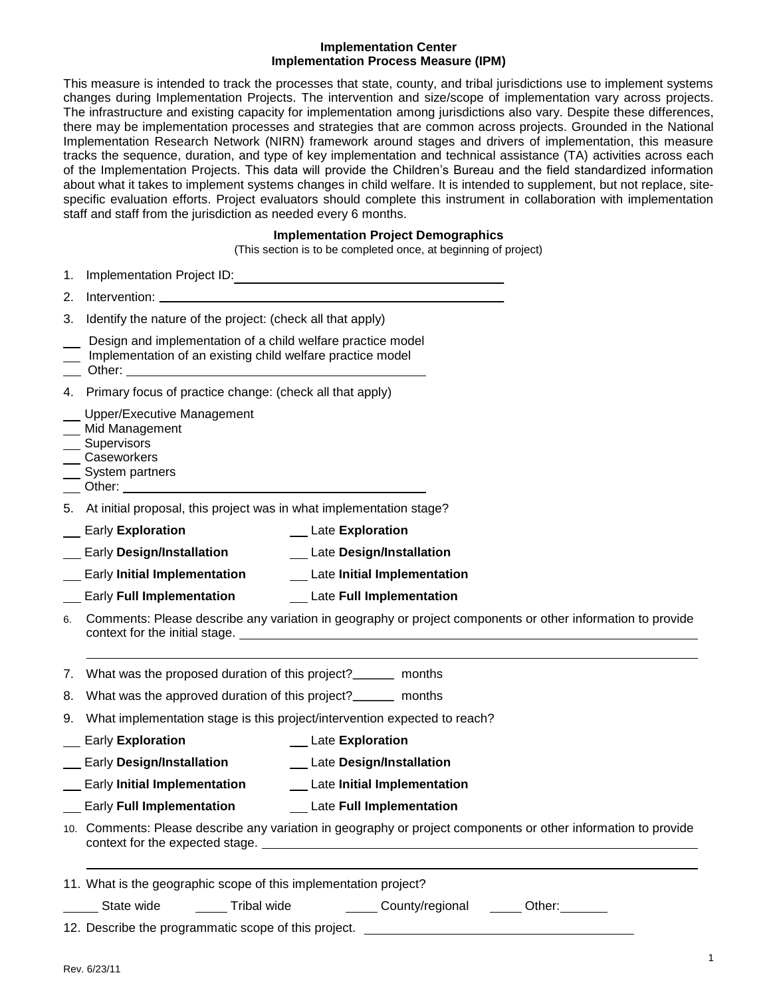#### **Implementation Center Implementation Process Measure (IPM)**

This measure is intended to track the processes that state, county, and tribal jurisdictions use to implement systems changes during Implementation Projects. The intervention and size/scope of implementation vary across projects. The infrastructure and existing capacity for implementation among jurisdictions also vary. Despite these differences, there may be implementation processes and strategies that are common across projects. Grounded in the National Implementation Research Network (NIRN) framework around stages and drivers of implementation, this measure tracks the sequence, duration, and type of key implementation and technical assistance (TA) activities across each of the Implementation Projects. This data will provide the Children's Bureau and the field standardized information about what it takes to implement systems changes in child welfare. It is intended to supplement, but not replace, sitespecific evaluation efforts. Project evaluators should complete this instrument in collaboration with implementation staff and staff from the jurisdiction as needed every 6 months.

## **Implementation Project Demographics**

(This section is to be completed once, at beginning of project)

|    | Trip section is to be completed once, at beginning or project)                                                            |
|----|---------------------------------------------------------------------------------------------------------------------------|
| 1. | Implementation Project ID:                                                                                                |
| 2. |                                                                                                                           |
| 3. | Identify the nature of the project: (check all that apply)                                                                |
|    | Design and implementation of a child welfare practice model<br>Implementation of an existing child welfare practice model |
|    | 4. Primary focus of practice change: (check all that apply)                                                               |
|    | Upper/Executive Management<br>Mid Management<br>__ Supervisors<br>__ Caseworkers<br>__ System partners                    |
|    | 5. At initial proposal, this project was in what implementation stage?                                                    |
|    | <b>Exploration</b> Late Exploration<br>Early Exploration                                                                  |
|    | Early Design/Installation _________ Late Design/Installation                                                              |
|    | Early Initial Implementation _______ Late Initial Implementation                                                          |
|    | Early Full Implementation ______________ Late Full Implementation                                                         |
|    | 6. Comments: Please describe any variation in geography or project components or other information to provide             |
|    | 7. What was the proposed duration of this project?________ months                                                         |
|    | 8. What was the approved duration of this project?________ months                                                         |
|    | 9. What implementation stage is this project/intervention expected to reach?                                              |
|    | __ Late Exploration<br><b>Early Exploration</b>                                                                           |
|    | <b>Early Design/Installation</b><br><b>Late Design/Installation</b>                                                       |
|    | __ Early Initial Implementation<br>Late Initial Implementation                                                            |
|    | <b>Early Full Implementation</b><br><b>Late Full Implementation</b>                                                       |
|    | 10. Comments: Please describe any variation in geography or project components or other information to provide            |
|    | 11. What is the geographic scope of this implementation project?                                                          |
|    | County/regional _____ Other:______<br>_______ State wide<br>Tribal wide                                                   |
|    | 12. Describe the programmatic scope of this project. ___________________________                                          |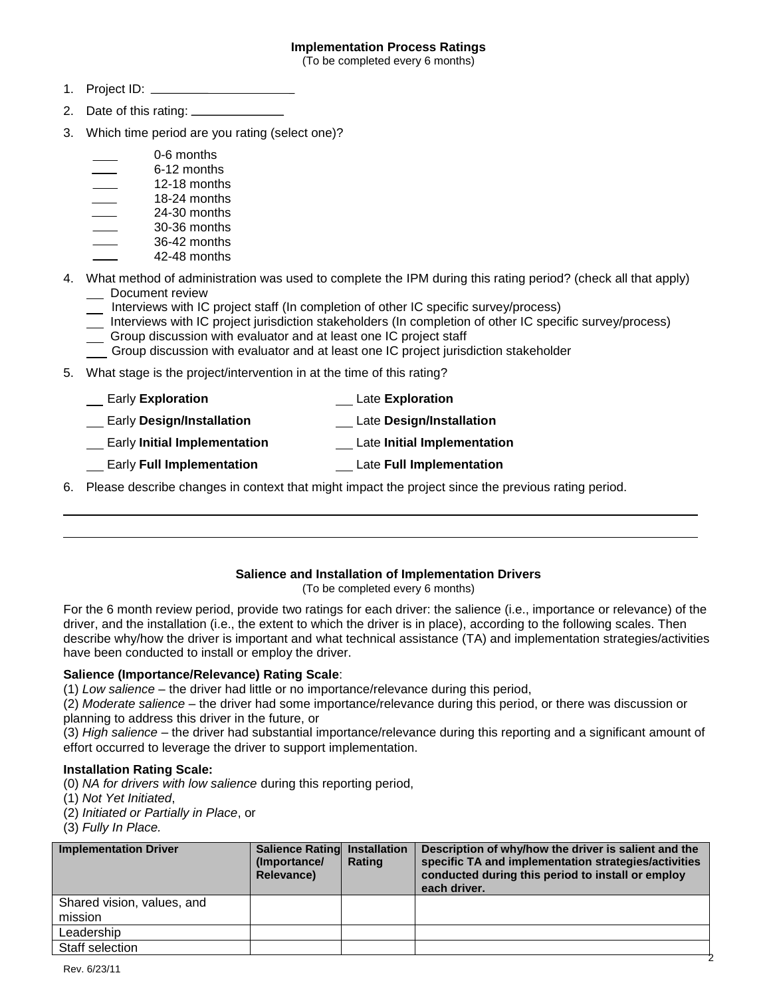## **Implementation Process Ratings**

(To be completed every 6 months)

- 1. Project ID:
- 2. Date of this rating:
- 3. Which time period are you rating (select one)?

|  | 0-6 months |
|--|------------|
|  |            |

- 6-12 months
- 12-18 months
- 18-24 months
- 24-30 months 30-36 months
- 36-42 months
- 42-48 months
- 4. What method of administration was used to complete the IPM during this rating period? (check all that apply) \_\_ Document review
	- Interviews with IC project staff (In completion of other IC specific survey/process)
	- Interviews with IC project jurisdiction stakeholders (In completion of other IC specific survey/process)
	- Group discussion with evaluator and at least one IC project staff
	- Group discussion with evaluator and at least one IC project jurisdiction stakeholder
- 5. What stage is the project/intervention in at the time of this rating?

| <b>Early Exploration</b> | Late Exploration |
|--------------------------|------------------|
|--------------------------|------------------|

- Early **Design/Installation** Late **Design/Installation**
- Early **Initial Implementation** Late **Initial Implementation**
- Early **Full Implementation** Late **Full Implementation**
- 6. Please describe changes in context that might impact the project since the previous rating period.

# **Salience and Installation of Implementation Drivers**

(To be completed every 6 months)

For the 6 month review period, provide two ratings for each driver: the salience (i.e., importance or relevance) of the driver, and the installation (i.e., the extent to which the driver is in place), according to the following scales. Then describe why/how the driver is important and what technical assistance (TA) and implementation strategies/activities have been conducted to install or employ the driver.

## **Salience (Importance/Relevance) Rating Scale**:

(1) *Low salience* – the driver had little or no importance/relevance during this period,

(2) *Moderate salience* – the driver had some importance/relevance during this period, or there was discussion or planning to address this driver in the future, or

(3) *High salience –* the driver had substantial importance/relevance during this reporting and a significant amount of effort occurred to leverage the driver to support implementation.

## **Installation Rating Scale:**

(0) *NA for drivers with low salience* during this reporting period,

- (1) *Not Yet Initiated*,
- (2) *Initiated or Partially in Place*, or
- (3) *Fully In Place.*

| <b>Implementation Driver</b>          | <b>Salience Rating Installation</b><br>(Importance/<br>Relevance) | Rating | Description of why/how the driver is salient and the<br>specific TA and implementation strategies/activities<br>conducted during this period to install or employ<br>each driver. |
|---------------------------------------|-------------------------------------------------------------------|--------|-----------------------------------------------------------------------------------------------------------------------------------------------------------------------------------|
| Shared vision, values, and<br>mission |                                                                   |        |                                                                                                                                                                                   |
| Leadership                            |                                                                   |        |                                                                                                                                                                                   |
| Staff selection                       |                                                                   |        |                                                                                                                                                                                   |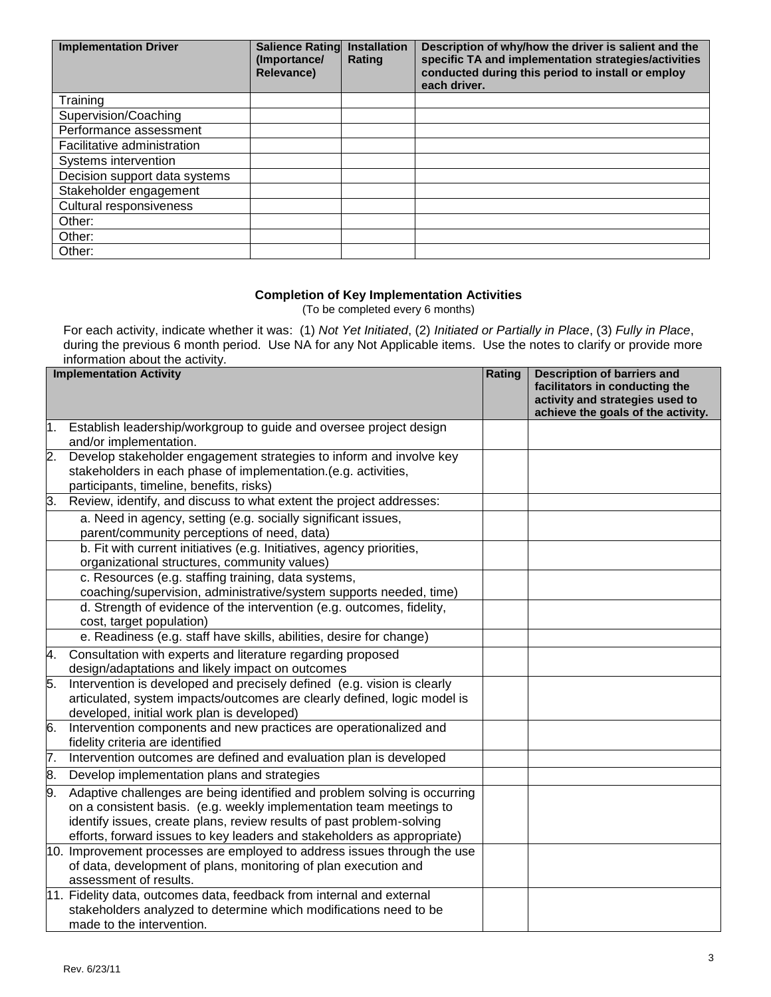| <b>Implementation Driver</b>  | <b>Salience Ratingl</b><br>(Importance/<br><b>Relevance)</b> | <b>Installation</b><br>Rating | Description of why/how the driver is salient and the<br>specific TA and implementation strategies/activities<br>conducted during this period to install or employ<br>each driver. |
|-------------------------------|--------------------------------------------------------------|-------------------------------|-----------------------------------------------------------------------------------------------------------------------------------------------------------------------------------|
| Training                      |                                                              |                               |                                                                                                                                                                                   |
| Supervision/Coaching          |                                                              |                               |                                                                                                                                                                                   |
| Performance assessment        |                                                              |                               |                                                                                                                                                                                   |
| Facilitative administration   |                                                              |                               |                                                                                                                                                                                   |
| Systems intervention          |                                                              |                               |                                                                                                                                                                                   |
| Decision support data systems |                                                              |                               |                                                                                                                                                                                   |
| Stakeholder engagement        |                                                              |                               |                                                                                                                                                                                   |
| Cultural responsiveness       |                                                              |                               |                                                                                                                                                                                   |
| Other:                        |                                                              |                               |                                                                                                                                                                                   |
| Other:                        |                                                              |                               |                                                                                                                                                                                   |
| Other:                        |                                                              |                               |                                                                                                                                                                                   |

## **Completion of Key Implementation Activities**

(To be completed every 6 months)

For each activity, indicate whether it was: (1) *Not Yet Initiated*, (2) *Initiated or Partially in Place*, (3) *Fully in Place*, during the previous 6 month period. Use NA for any Not Applicable items. Use the notes to clarify or provide more information about the activity.

|    | <b>Implementation Activity</b>                                                                                                                                                                                                                                                                       | Rating | <b>Description of barriers and</b><br>facilitators in conducting the<br>activity and strategies used to<br>achieve the goals of the activity. |
|----|------------------------------------------------------------------------------------------------------------------------------------------------------------------------------------------------------------------------------------------------------------------------------------------------------|--------|-----------------------------------------------------------------------------------------------------------------------------------------------|
|    | Establish leadership/workgroup to guide and oversee project design<br>and/or implementation.                                                                                                                                                                                                         |        |                                                                                                                                               |
| 2. | Develop stakeholder engagement strategies to inform and involve key<br>stakeholders in each phase of implementation.(e.g. activities,<br>participants, timeline, benefits, risks)                                                                                                                    |        |                                                                                                                                               |
| 3. | Review, identify, and discuss to what extent the project addresses:                                                                                                                                                                                                                                  |        |                                                                                                                                               |
|    | a. Need in agency, setting (e.g. socially significant issues,<br>parent/community perceptions of need, data)                                                                                                                                                                                         |        |                                                                                                                                               |
|    | b. Fit with current initiatives (e.g. Initiatives, agency priorities,<br>organizational structures, community values)                                                                                                                                                                                |        |                                                                                                                                               |
|    | c. Resources (e.g. staffing training, data systems,<br>coaching/supervision, administrative/system supports needed, time)                                                                                                                                                                            |        |                                                                                                                                               |
|    | d. Strength of evidence of the intervention (e.g. outcomes, fidelity,<br>cost, target population)                                                                                                                                                                                                    |        |                                                                                                                                               |
|    | e. Readiness (e.g. staff have skills, abilities, desire for change)                                                                                                                                                                                                                                  |        |                                                                                                                                               |
| 4. | Consultation with experts and literature regarding proposed<br>design/adaptations and likely impact on outcomes                                                                                                                                                                                      |        |                                                                                                                                               |
| 5. | Intervention is developed and precisely defined (e.g. vision is clearly<br>articulated, system impacts/outcomes are clearly defined, logic model is<br>developed, initial work plan is developed)                                                                                                    |        |                                                                                                                                               |
| 6. | Intervention components and new practices are operationalized and<br>fidelity criteria are identified                                                                                                                                                                                                |        |                                                                                                                                               |
| 7. | Intervention outcomes are defined and evaluation plan is developed                                                                                                                                                                                                                                   |        |                                                                                                                                               |
| 8. | Develop implementation plans and strategies                                                                                                                                                                                                                                                          |        |                                                                                                                                               |
| 9. | Adaptive challenges are being identified and problem solving is occurring<br>on a consistent basis. (e.g. weekly implementation team meetings to<br>identify issues, create plans, review results of past problem-solving<br>efforts, forward issues to key leaders and stakeholders as appropriate) |        |                                                                                                                                               |
|    | 10. Improvement processes are employed to address issues through the use<br>of data, development of plans, monitoring of plan execution and<br>assessment of results.                                                                                                                                |        |                                                                                                                                               |
|    | 11. Fidelity data, outcomes data, feedback from internal and external<br>stakeholders analyzed to determine which modifications need to be<br>made to the intervention.                                                                                                                              |        |                                                                                                                                               |